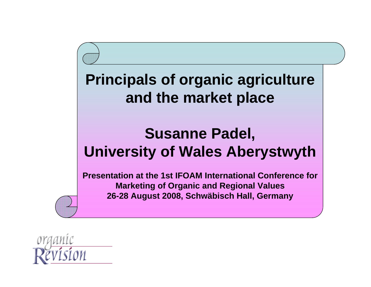#### **Principals of organic agriculture and the market place**

#### **Susanne Padel, University of Wales Aberystwyth**

**Presentation at the 1st IFOAM International Conference for Marketing of Organic and Regional Values 26-28 August 2008, Schwäbisch Hall, Germany**

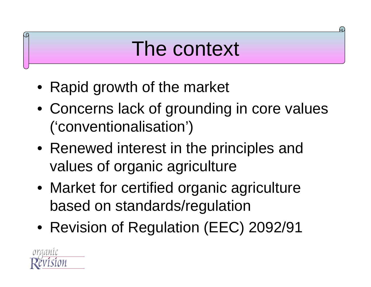## The context

- Rapid growth of the market
- Concerns lack of grounding in core values ('conventionalisation')
- Renewed interest in the principles and values of organic agriculture
- Market for certified organic agriculture based on standards/regulation
- Revision of Regulation (EEC) 2092/91

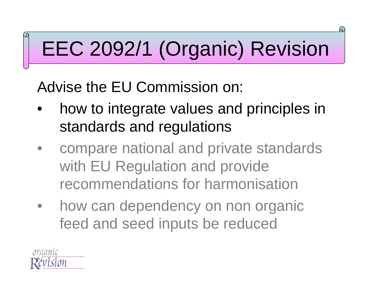# EEC 2092/1 (Organic) Revision

Advise the EU Commission on:

- $\bullet$  how to integrate values and principles in standards and regulations
- $\bullet$  compare national and private standards with EU Regulation and provide recommendations for harmonisation
- $\bullet$  how can dependency on non organic feed and seed inputs be reduced

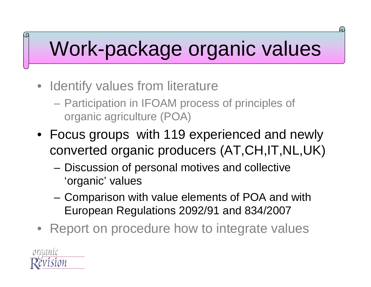#### Work-package organic values

- Identify values from literature
	- $\mathcal{L}_{\mathcal{A}}$  Participation in IFOAM process of principles of organic agriculture (POA)
- Focus groups with 119 experienced and newly converted organic producers (AT,CH,IT,NL,UK)
	- – Discussion of personal motives and collective 'organic' values
	- Comparison with value elements of POA and with European Regulations 2092/91 and 834/2007
- Report on procedure how to integrate values

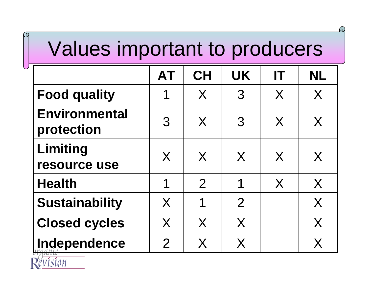## Values important to producers

 $\Omega$ 

|                                    | <b>AT</b>      | <b>CH</b>      | <b>UK</b>      | IT | <b>NL</b> |
|------------------------------------|----------------|----------------|----------------|----|-----------|
| <b>Food quality</b>                | 1              | X              | $\mathcal{S}$  | X  | X         |
| <b>Environmental</b><br>protection | 3              | $\sf X$        | 3              | X  | X         |
| Limiting<br>resource use           | X              | $\sf{X}$       | X              | X  | X         |
| <b>Health</b>                      | 1              | $\overline{2}$ | 1              | X  | X         |
| <b>Sustainability</b>              | X              | 1              | $\overline{2}$ |    | X         |
| <b>Closed cycles</b>               | X              | X              | X              |    | X         |
| Independence                       | $\overline{2}$ | X              | X              |    | X         |

lston

M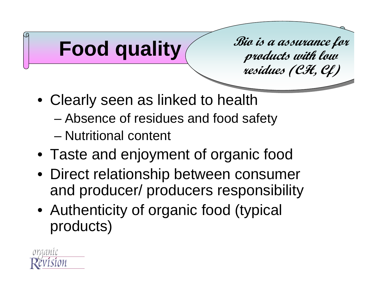

**residues (CH, Cf) residues (CH, Cf) Bio is a assurance for products with low** 

- Clearly seen as linked to health
	- –Absence of residues and food safety
	- Nutritional content
- Taste and enjoyment of organic food
- Direct relationship between consumer and producer/ producers responsibility
- Authenticity of organic food (typical products)

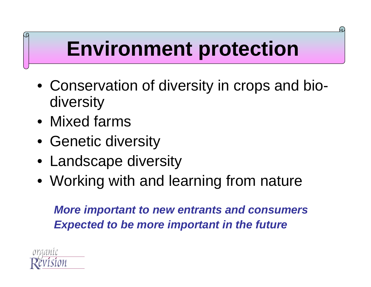# **Environment protection**

Ч.

- Conservation of diversity in crops and biodiversity
- Mixed farms
- Genetic diversity
- Landscape diversity
- Working with and learning from nature

*More important to new entrants and consumers Expected to be more important in the future* 

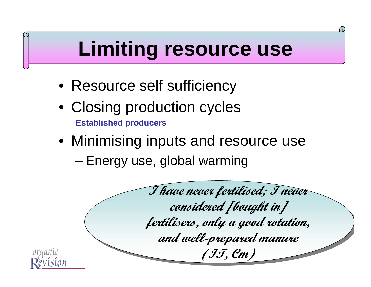## **Limiting resource use**

- Resource self sufficiency
- Closing production cycles **Established producers**
- Minimising inputs and resource use –Energy use, global warming

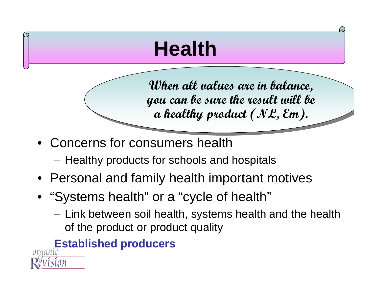# **Health**

**When all values are in balance, When all values are in balance, you can be sure the result will be you can be sure the result will be a healthy product (NL, Em). a healthy product (NL, Em).**

- Concerns for consumers health
	- –Healthy products for schools and hospitals
- Personal and family health important motives
- "Systems health" or a "cycle of health"
	- – Link between soil health, systems health and the health of the product or product quality

#### **Established producers**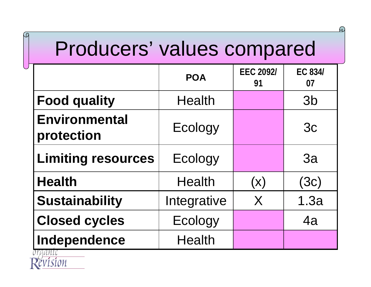#### Producers' values compared

 $\Omega$ 

|                                    | <b>POA</b>    | <b>EEC 2092/</b><br>91 | <b>EC 834/</b><br>07 |
|------------------------------------|---------------|------------------------|----------------------|
| <b>Food quality</b>                | <b>Health</b> |                        | 3 <sub>b</sub>       |
| <b>Environmental</b><br>protection | Ecology       |                        | 3c                   |
| <b>Limiting resources</b>          | Ecology       |                        | 3a                   |
| <b>Health</b>                      | <b>Health</b> | $(\mathsf{x})$         | (3c)                 |
| <b>Sustainability</b>              | Integrative   | X                      | 1.3a                 |
| <b>Closed cycles</b>               | Ecology       |                        | 4a                   |
| Independence                       | <b>Health</b> |                        |                      |

!ON

M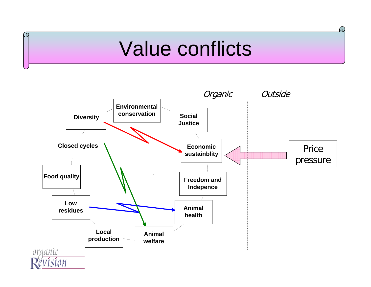#### Value conflicts

ĹΩ

 $\Omega$ 

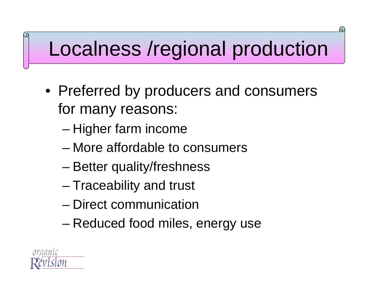## Localness /regional production

- Preferred by producers and consumers for many reasons:
	- –Higher farm income
	- More affordable to consumers
	- –Better quality/freshness
	- –Traceability and trust
	- Direct communication
	- –Reduced food miles, energy use

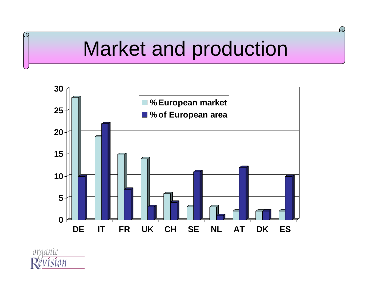#### Market and production

 $\Omega$ 



ĹЙ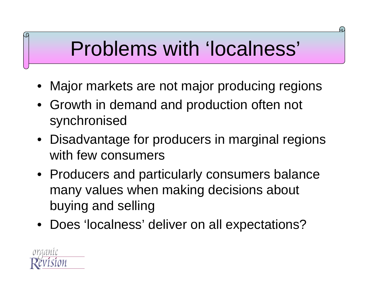## Problems with 'localness'

- Major markets are not major producing regions
- Growth in demand and production often not synchronised
- Disadvantage for producers in marginal regions with few consumers
- Producers and particularly consumers balance many values when making decisions about buying and selling
- Does 'localness' deliver on all expectations?

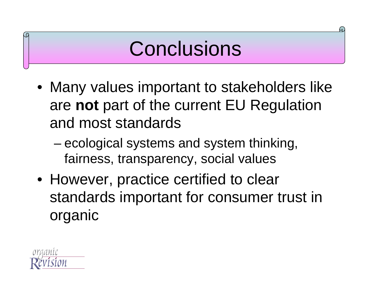#### **Conclusions**

- Many values important to stakeholders like are **not** part of the current EU Regulation and most standards
	- – ecological systems and system thinking, fairness, transparency, social values
- However, practice certified to clear standards important for consumer trust in organic

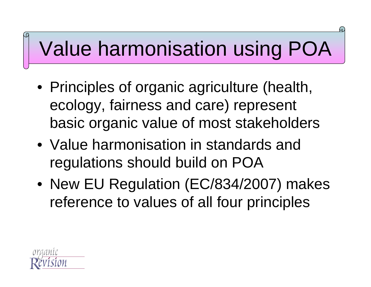# Value harmonisation using POA

- Principles of organic agriculture (health, ecology, fairness and care) represent basic organic value of most stakeholders
- Value harmonisation in standards and regulations should build on POA
- New EU Regulation (EC/834/2007) makes reference to values of all four principles

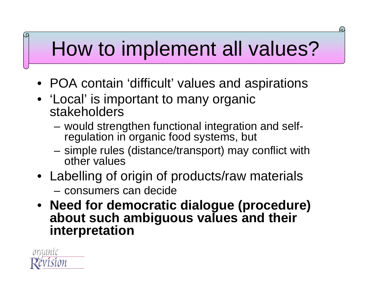## How to implement all values?

- POA contain 'difficult' values and aspirations
- 'Local' is important to many organic **stakeholders** 
	- would strengthen functional integration and selfregulation in organic food systems, but
	- simple rules (distance/transport) may conflict with other values
- Labelling of origin of products/raw materials

– consumers can decide

• **Need for democratic dialogue (procedure) about such ambiguous values and their interpretation**

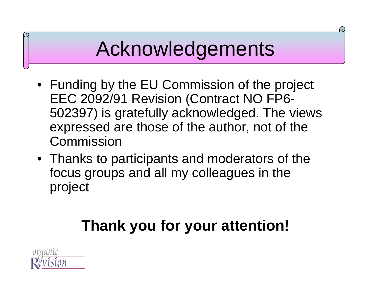#### Acknowledgements

- Funding by the EU Commission of the project EEC 2092/91 Revision (Contract NO FP6- 502397) is gratefully acknowledged. The views expressed are those of the author, not of the Commission
- Thanks to participants and moderators of the focus groups and all my colleagues in the project

#### **Thank you for your attention!**